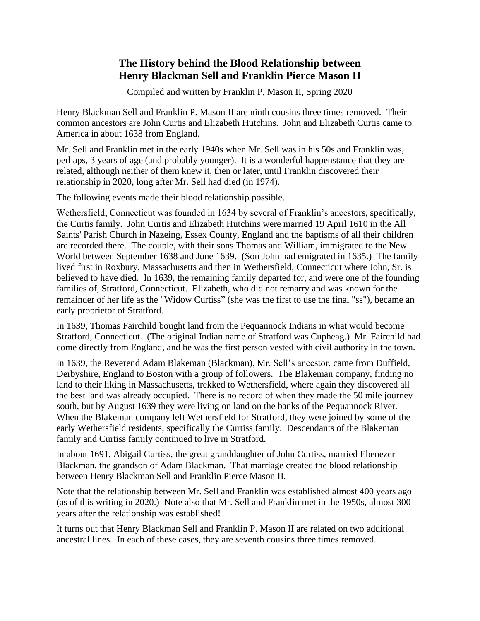### **The History behind the Blood Relationship between Henry Blackman Sell and Franklin Pierce Mason II**

Compiled and written by Franklin P, Mason II, Spring 2020

Henry Blackman Sell and Franklin P. Mason II are ninth cousins three times removed. Their common ancestors are John Curtis and Elizabeth Hutchins. John and Elizabeth Curtis came to America in about 1638 from England.

Mr. Sell and Franklin met in the early 1940s when Mr. Sell was in his 50s and Franklin was, perhaps, 3 years of age (and probably younger). It is a wonderful happenstance that they are related, although neither of them knew it, then or later, until Franklin discovered their relationship in 2020, long after Mr. Sell had died (in 1974).

The following events made their blood relationship possible.

Wethersfield, Connecticut was founded in 1634 by several of Franklin's ancestors, specifically, the Curtis family. John Curtis and Elizabeth Hutchins were married 19 April 1610 in the [All](http://www.curtis-curtiss.org/document/113526all_saints_church_in_nazeing_uk.pdf)  [Saints' Parish Church in](http://www.curtis-curtiss.org/document/113526all_saints_church_in_nazeing_uk.pdf) [Nazeing, Essex County, England](http://curtis-curtiss.org/pub/information/nazeing.html) and the baptisms of all their children are recorded there. The couple, with their sons Thomas and William, immigrated to the New World between September 1638 and June 1639. (Son John had emigrated in 1635.) The family lived first in Roxbury, Massachusetts and then in Wethersfield, Connecticut where John, Sr. is believed to have died. In 1639, the remaining family departed for, and were one of the founding families of, Stratford, Connecticut. Elizabeth, who did not remarry and was known for the remainder of her life as the "Widow Curtiss" (she was the first to use the final "ss"), became an early proprietor of Stratford.

In 1639, Thomas Fairchild bought land from the Pequannock Indians in what would become Stratford, Connecticut. (The original Indian name of Stratford was Cupheag.) Mr. Fairchild had come directly from England, and he was the first person vested with civil authority in the town.

In 1639, the Reverend Adam Blakeman (Blackman), Mr. Sell's ancestor, came from Duffield, Derbyshire, England to Boston with a group of followers. The Blakeman company, finding no land to their liking in Massachusetts, trekked to Wethersfield, where again they discovered all the best land was already occupied. There is no record of when they made the 50 mile journey south, but by August 1639 they were living on land on the banks of the Pequannock River. When the Blakeman company left Wethersfield for Stratford, they were joined by some of the early Wethersfield residents, specifically the Curtiss family. Descendants of the Blakeman family and Curtiss family continued to live in Stratford.

In about 1691, Abigail Curtiss, the great granddaughter of John Curtiss, married Ebenezer Blackman, the grandson of Adam Blackman. That marriage created the blood relationship between Henry Blackman Sell and Franklin Pierce Mason II.

Note that the relationship between Mr. Sell and Franklin was established almost 400 years ago (as of this writing in 2020.) Note also that Mr. Sell and Franklin met in the 1950s, almost 300 years after the relationship was established!

It turns out that Henry Blackman Sell and Franklin P. Mason II are related on two additional ancestral lines. In each of these cases, they are seventh cousins three times removed.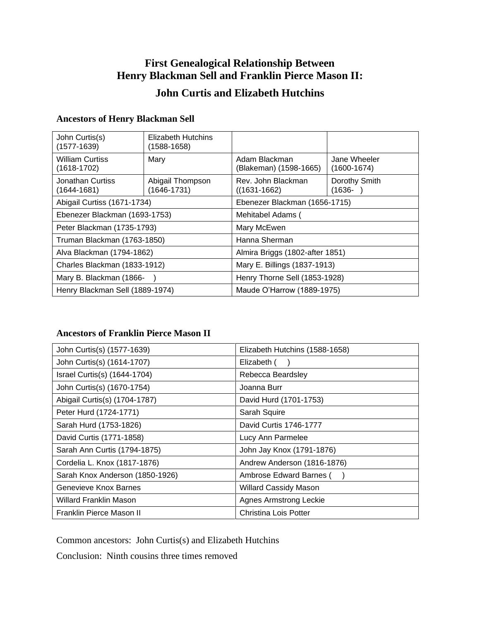## **First Genealogical Relationship Between Henry Blackman Sell and Franklin Pierce Mason II:**

## **John Curtis and Elizabeth Hutchins**

| John Curtis(s)<br>$(1577-1639)$         | <b>Elizabeth Hutchins</b><br>$(1588 - 1658)$ |                                         |                                 |
|-----------------------------------------|----------------------------------------------|-----------------------------------------|---------------------------------|
| <b>William Curtiss</b><br>$(1618-1702)$ | Mary                                         | Adam Blackman<br>(Blakeman) (1598-1665) | Jane Wheeler<br>$(1600 - 1674)$ |
| Jonathan Curtiss<br>$(1644 - 1681)$     | Abigail Thompson<br>$(1646 - 1731)$          | Rev. John Blackman<br>$((1631 - 1662))$ | Dorothy Smith<br>(1636-         |
| Abigail Curtiss (1671-1734)             |                                              | Ebenezer Blackman (1656-1715)           |                                 |
| Ebenezer Blackman (1693-1753)           |                                              | Mehitabel Adams (                       |                                 |
| Peter Blackman (1735-1793)              |                                              | Mary McEwen                             |                                 |
| Truman Blackman (1763-1850)             |                                              | Hanna Sherman                           |                                 |
| Alva Blackman (1794-1862)               |                                              | Almira Briggs (1802-after 1851)         |                                 |
| Charles Blackman (1833-1912)            |                                              | Mary E. Billings (1837-1913)            |                                 |
| Mary B. Blackman (1866-                 |                                              | Henry Thorne Sell (1853-1928)           |                                 |
| Henry Blackman Sell (1889-1974)         |                                              | Maude O'Harrow (1889-1975)              |                                 |

# **Ancestors of Henry Blackman Sell**

### **Ancestors of Franklin Pierce Mason II**

| John Curtis(s) (1577-1639)      | Elizabeth Hutchins (1588-1658) |
|---------------------------------|--------------------------------|
| John Curtis(s) (1614-1707)      | Elizabeth (                    |
| Israel Curtis(s) (1644-1704)    | Rebecca Beardsley              |
| John Curtis(s) (1670-1754)      | Joanna Burr                    |
| Abigail Curtis(s) (1704-1787)   | David Hurd (1701-1753)         |
| Peter Hurd (1724-1771)          | Sarah Squire                   |
| Sarah Hurd (1753-1826)          | David Curtis 1746-1777         |
| David Curtis (1771-1858)        | Lucy Ann Parmelee              |
| Sarah Ann Curtis (1794-1875)    | John Jay Knox (1791-1876)      |
| Cordelia L. Knox (1817-1876)    | Andrew Anderson (1816-1876)    |
| Sarah Knox Anderson (1850-1926) | Ambrose Edward Barnes          |
| Genevieve Knox Barnes           | <b>Willard Cassidy Mason</b>   |
| <b>Willard Franklin Mason</b>   | <b>Agnes Armstrong Leckie</b>  |
| Franklin Pierce Mason II        | Christina Lois Potter          |

Common ancestors: John Curtis(s) and Elizabeth Hutchins

Conclusion: Ninth cousins three times removed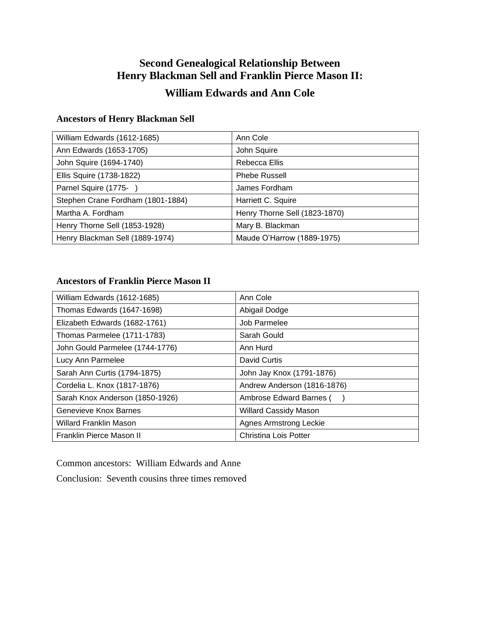# **Second Genealogical Relationship Between Henry Blackman Sell and Franklin Pierce Mason II:**

# **William Edwards and Ann Cole**

### **Ancestors of Henry Blackman Sell**

| William Edwards (1612-1685)       | Ann Cole                      |
|-----------------------------------|-------------------------------|
| Ann Edwards (1653-1705)           | John Squire                   |
| John Squire (1694-1740)           | Rebecca Ellis                 |
| Ellis Squire (1738-1822)          | <b>Phebe Russell</b>          |
| Parnel Squire (1775-)             | James Fordham                 |
| Stephen Crane Fordham (1801-1884) | Harriett C. Squire            |
| Martha A. Fordham                 | Henry Thorne Sell (1823-1870) |
| Henry Thorne Sell (1853-1928)     | Mary B. Blackman              |
| Henry Blackman Sell (1889-1974)   | Maude O'Harrow (1889-1975)    |

### **Ancestors of Franklin Pierce Mason II**

| William Edwards (1612-1685)     | Ann Cole                      |
|---------------------------------|-------------------------------|
| Thomas Edwards (1647-1698)      | Abigail Dodge                 |
| Elizabeth Edwards (1682-1761)   | Job Parmelee                  |
| Thomas Parmelee (1711-1783)     | Sarah Gould                   |
| John Gould Parmelee (1744-1776) | Ann Hurd                      |
| Lucy Ann Parmelee               | David Curtis                  |
| Sarah Ann Curtis (1794-1875)    | John Jay Knox (1791-1876)     |
| Cordelia L. Knox (1817-1876)    | Andrew Anderson (1816-1876)   |
| Sarah Knox Anderson (1850-1926) | Ambrose Edward Barnes (       |
| Genevieve Knox Barnes           | <b>Willard Cassidy Mason</b>  |
| <b>Willard Franklin Mason</b>   | <b>Agnes Armstrong Leckie</b> |
| Franklin Pierce Mason II        | <b>Christina Lois Potter</b>  |

Common ancestors: William Edwards and Anne

Conclusion: Seventh cousins three times removed